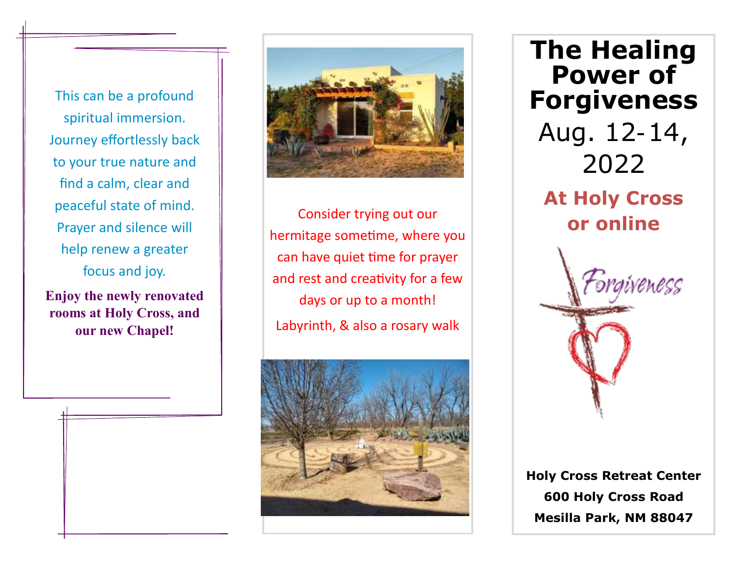This can be a profound spiritual immersion. Journey effortlessly back to your true nature and find a calm, clear and peaceful state of mind. Prayer and silence will help renew a greater focus and joy.

**Enjoy the newly renovated rooms at Holy Cross, and our new Chapel!**

j



Consider trying out our hermitage sometime, where you can have quiet time for prayer and rest and creativity for a few days or up to a month! Labyrinth, & also a rosary walk



**The Healing Power of Forgiveness** Aug. 12-14, 2022 **At Holy Cross or online**

**Holy Cross Retreat Center 600 Holy Cross Road Mesilla Park, NM 88047**